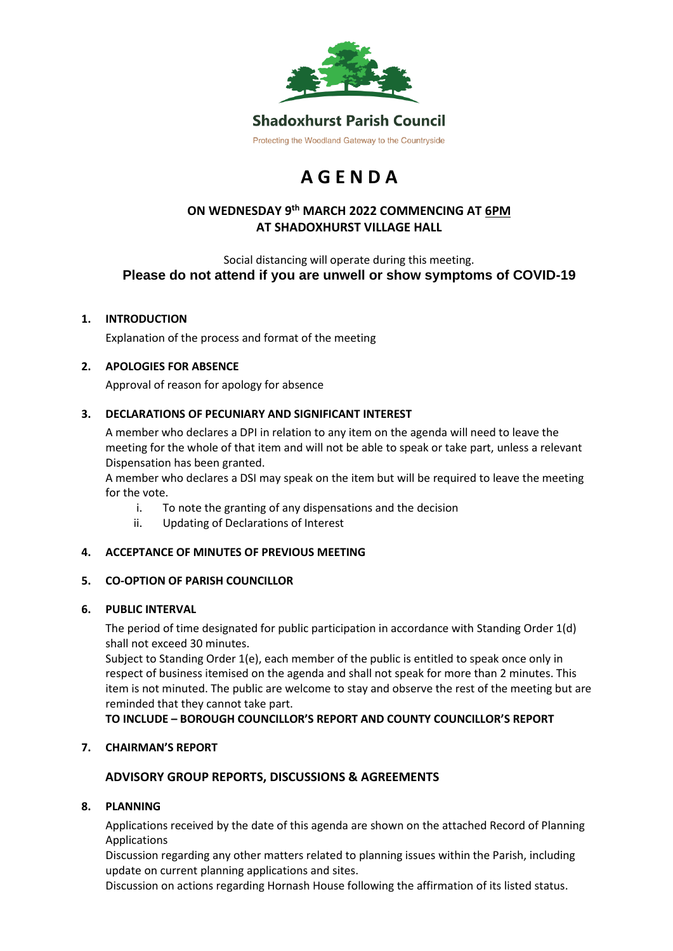

# **A G E N D A**

# **ON WEDNESDAY 9 th MARCH 2022 COMMENCING AT 6PM AT SHADOXHURST VILLAGE HALL**

Social distancing will operate during this meeting. **Please do not attend if you are unwell or show symptoms of COVID-19**

# **1. INTRODUCTION**

Explanation of the process and format of the meeting

# **2. APOLOGIES FOR ABSENCE**

Approval of reason for apology for absence

# **3. DECLARATIONS OF PECUNIARY AND SIGNIFICANT INTEREST**

A member who declares a DPI in relation to any item on the agenda will need to leave the meeting for the whole of that item and will not be able to speak or take part, unless a relevant Dispensation has been granted.

A member who declares a DSI may speak on the item but will be required to leave the meeting for the vote.

- i. To note the granting of any dispensations and the decision
- ii. Updating of Declarations of Interest

#### **4. ACCEPTANCE OF MINUTES OF PREVIOUS MEETING**

#### **5. CO-OPTION OF PARISH COUNCILLOR**

#### **6. PUBLIC INTERVAL**

The period of time designated for public participation in accordance with Standing Order 1(d) shall not exceed 30 minutes.

Subject to Standing Order 1(e), each member of the public is entitled to speak once only in respect of business itemised on the agenda and shall not speak for more than 2 minutes. This item is not minuted. The public are welcome to stay and observe the rest of the meeting but are reminded that they cannot take part.

**TO INCLUDE – BOROUGH COUNCILLOR'S REPORT AND COUNTY COUNCILLOR'S REPORT**

#### **7. CHAIRMAN'S REPORT**

# **ADVISORY GROUP REPORTS, DISCUSSIONS & AGREEMENTS**

#### **8. PLANNING**

Applications received by the date of this agenda are shown on the attached Record of Planning Applications

Discussion regarding any other matters related to planning issues within the Parish, including update on current planning applications and sites.

Discussion on actions regarding Hornash House following the affirmation of its listed status.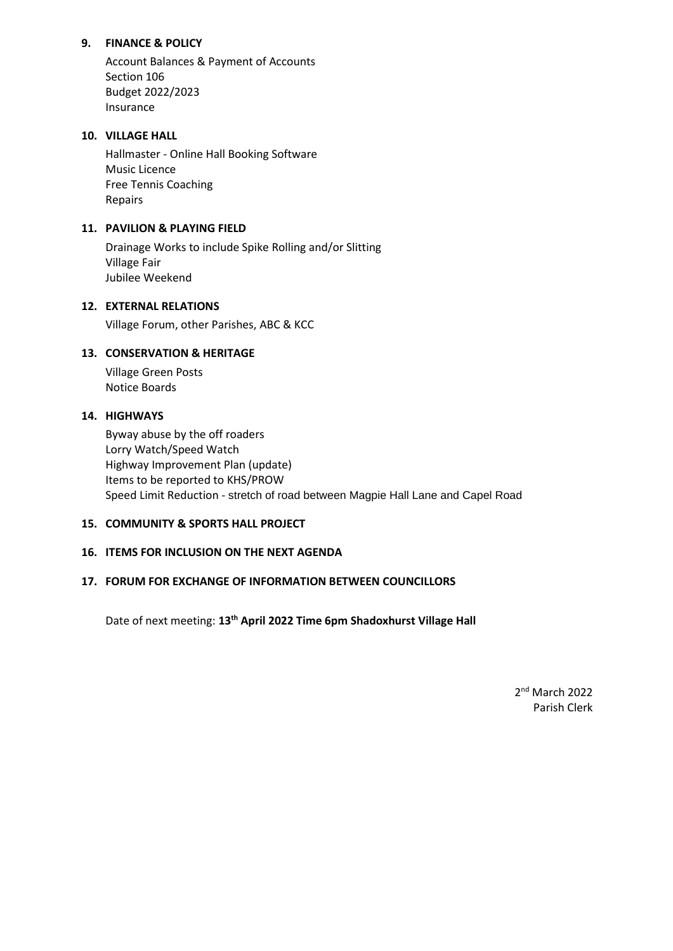# **9. FINANCE & POLICY**

Account Balances & Payment of Accounts Section 106 Budget 2022/2023 Insurance

# **10. VILLAGE HALL**

Hallmaster - Online Hall Booking Software Music Licence Free Tennis Coaching Repairs

# **11. PAVILION & PLAYING FIELD**

Drainage Works to include Spike Rolling and/or Slitting Village Fair Jubilee Weekend

# **12. EXTERNAL RELATIONS**

Village Forum, other Parishes, ABC & KCC

#### **13. CONSERVATION & HERITAGE**

Village Green Posts Notice Boards

#### **14. HIGHWAYS**

Byway abuse by the off roaders Lorry Watch/Speed Watch Highway Improvement Plan (update) Items to be reported to KHS/PROW Speed Limit Reduction - stretch of road between Magpie Hall Lane and Capel Road

#### **15. COMMUNITY & SPORTS HALL PROJECT**

## **16. ITEMS FOR INCLUSION ON THE NEXT AGENDA**

## **17. FORUM FOR EXCHANGE OF INFORMATION BETWEEN COUNCILLORS**

Date of next meeting: **13th April 2022 Time 6pm Shadoxhurst Village Hall**

2<sup>nd</sup> March 2022 Parish Clerk